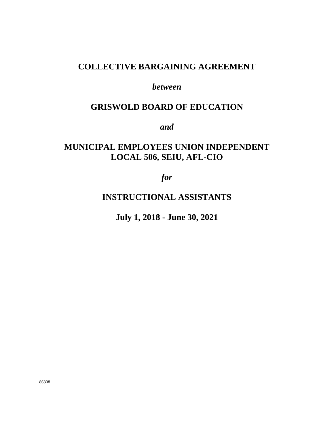# **COLLECTIVE BARGAINING AGREEMENT**

# *between*

# **GRISWOLD BOARD OF EDUCATION**

*and* 

# **MUNICIPAL EMPLOYEES UNION INDEPENDENT LOCAL 506, SEIU, AFL-CIO**

*for* 

**INSTRUCTIONAL ASSISTANTS** 

**July 1, 2018 - June 30, 2021**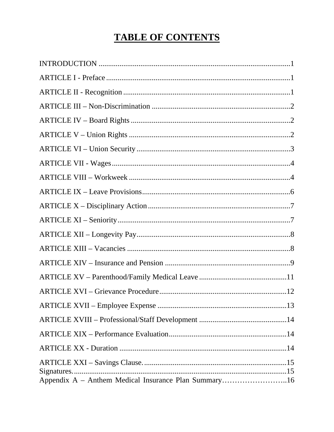# **TABLE OF CONTENTS**

| Signatures<br>Appendix A - Anthem Medical Insurance Plan Summary16 |
|--------------------------------------------------------------------|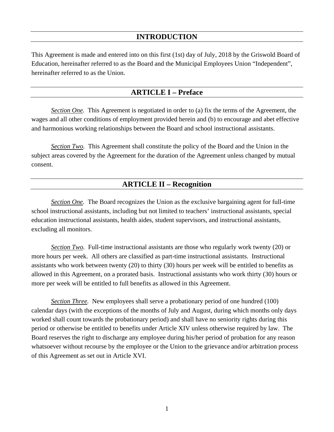# **INTRODUCTION**

This Agreement is made and entered into on this first (1st) day of July, 2018 by the Griswold Board of Education, hereinafter referred to as the Board and the Municipal Employees Union "Independent", hereinafter referred to as the Union.

#### **ARTICLE I – Preface**

*Section One.* This Agreement is negotiated in order to (a) fix the terms of the Agreement, the wages and all other conditions of employment provided herein and (b) to encourage and abet effective and harmonious working relationships between the Board and school instructional assistants.

*Section Two.* This Agreement shall constitute the policy of the Board and the Union in the subject areas covered by the Agreement for the duration of the Agreement unless changed by mutual consent.

#### **ARTICLE II – Recognition**

*Section One.* The Board recognizes the Union as the exclusive bargaining agent for full-time school instructional assistants, including but not limited to teachers' instructional assistants, special education instructional assistants, health aides, student supervisors, and instructional assistants, excluding all monitors.

*Section Two.* Full-time instructional assistants are those who regularly work twenty (20) or more hours per week. All others are classified as part-time instructional assistants. Instructional assistants who work between twenty (20) to thirty (30) hours per week will be entitled to benefits as allowed in this Agreement, on a prorated basis. Instructional assistants who work thirty (30) hours or more per week will be entitled to full benefits as allowed in this Agreement.

*Section Three.* New employees shall serve a probationary period of one hundred (100) calendar days (with the exceptions of the months of July and August, during which months only days worked shall count towards the probationary period) and shall have no seniority rights during this period or otherwise be entitled to benefits under Article XIV unless otherwise required by law. The Board reserves the right to discharge any employee during his/her period of probation for any reason whatsoever without recourse by the employee or the Union to the grievance and/or arbitration process of this Agreement as set out in Article XVI.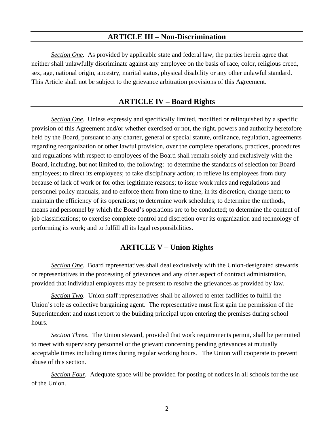#### **ARTICLE III – Non-Discrimination**

*Section One.* As provided by applicable state and federal law, the parties herein agree that neither shall unlawfully discriminate against any employee on the basis of race, color, religious creed, sex, age, national origin, ancestry, marital status, physical disability or any other unlawful standard. This Article shall not be subject to the grievance arbitration provisions of this Agreement.

## **ARTICLE IV – Board Rights**

*Section One.* Unless expressly and specifically limited, modified or relinquished by a specific provision of this Agreement and/or whether exercised or not, the right, powers and authority heretofore held by the Board, pursuant to any charter, general or special statute, ordinance, regulation, agreements regarding reorganization or other lawful provision, over the complete operations, practices, procedures and regulations with respect to employees of the Board shall remain solely and exclusively with the Board, including, but not limited to, the following: to determine the standards of selection for Board employees; to direct its employees; to take disciplinary action; to relieve its employees from duty because of lack of work or for other legitimate reasons; to issue work rules and regulations and personnel policy manuals, and to enforce them from time to time, in its discretion, change them; to maintain the efficiency of its operations; to determine work schedules; to determine the methods, means and personnel by which the Board's operations are to be conducted; to determine the content of job classifications; to exercise complete control and discretion over its organization and technology of performing its work; and to fulfill all its legal responsibilities.

#### **ARTICLE V – Union Rights**

*Section One.* Board representatives shall deal exclusively with the Union-designated stewards or representatives in the processing of grievances and any other aspect of contract administration, provided that individual employees may be present to resolve the grievances as provided by law.

*Section Two.* Union staff representatives shall be allowed to enter facilities to fulfill the Union's role as collective bargaining agent. The representative must first gain the permission of the Superintendent and must report to the building principal upon entering the premises during school hours.

*Section Three.* The Union steward, provided that work requirements permit, shall be permitted to meet with supervisory personnel or the grievant concerning pending grievances at mutually acceptable times including times during regular working hours. The Union will cooperate to prevent abuse of this section.

*Section Four.* Adequate space will be provided for posting of notices in all schools for the use of the Union.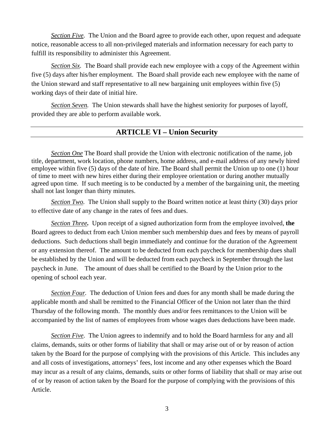*Section Five.* The Union and the Board agree to provide each other, upon request and adequate notice, reasonable access to all non-privileged materials and information necessary for each party to fulfill its responsibility to administer this Agreement.

*Section Six.* The Board shall provide each new employee with a copy of the Agreement within five (5) days after his/her employment. The Board shall provide each new employee with the name of the Union steward and staff representative to all new bargaining unit employees within five (5) working days of their date of initial hire.

*Section Seven.* The Union stewards shall have the highest seniority for purposes of layoff, provided they are able to perform available work.

#### **ARTICLE VI – Union Security**

*Section One* The Board shall provide the Union with electronic notification of the name, job title, department, work location, phone numbers, home address, and e-mail address of any newly hired employee within five (5) days of the date of hire. The Board shall permit the Union up to one (1) hour of time to meet with new hires either during their employee orientation or during another mutually agreed upon time. If such meeting is to be conducted by a member of the bargaining unit, the meeting shall not last longer than thirty minutes.

*Section Two.* The Union shall supply to the Board written notice at least thirty (30) days prior to effective date of any change in the rates of fees and dues.

*Section Three.* Upon receipt of a signed authorization form from the employee involved, **the** Board agrees to deduct from each Union member such membership dues and fees by means of payroll deductions. Such deductions shall begin immediately and continue for the duration of the Agreement or any extension thereof. The amount to be deducted from each paycheck for membership dues shall be established by the Union and will be deducted from each paycheck in September through the last paycheck in June. The amount of dues shall be certified to the Board by the Union prior to the opening of school each year.

*Section Four.* The deduction of Union fees and dues for any month shall be made during the applicable month and shall be remitted to the Financial Officer of the Union not later than the third Thursday of the following month. The monthly dues and/or fees remittances to the Union will be accompanied by the list of names of employees from whose wages dues deductions have been made.

*Section Five.* The Union agrees to indemnify and to hold the Board harmless for any and all claims, demands, suits or other forms of liability that shall or may arise out of or by reason of action taken by the Board for the purpose of complying with the provisions of this Article. This includes any and all costs of investigations, attorneys' fees, lost income and any other expenses which the Board may incur as a result of any claims, demands, suits or other forms of liability that shall or may arise out of or by reason of action taken by the Board for the purpose of complying with the provisions of this Article.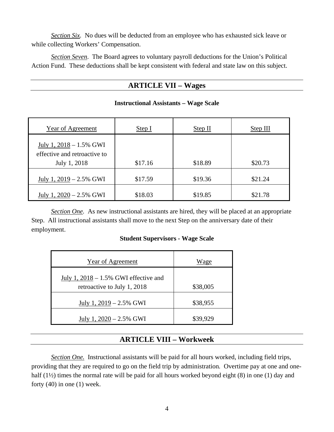*Section Six.* No dues will be deducted from an employee who has exhausted sick leave or while collecting Workers' Compensation.

*Section Seven*. The Board agrees to voluntary payroll deductions for the Union's Political Action Fund. These deductions shall be kept consistent with federal and state law on this subject.

#### **ARTICLE VII – Wages**

| Year of Agreement                                                          | Step I  | Step II | Step III |
|----------------------------------------------------------------------------|---------|---------|----------|
| July 1, $2018 - 1.5\%$ GWI<br>effective and retroactive to<br>July 1, 2018 | \$17.16 | \$18.89 | \$20.73  |
| July 1, $2019 - 2.5\%$ GWI                                                 | \$17.59 | \$19.36 | \$21.24  |
| July 1, $2020 - 2.5\%$ GWI                                                 | \$18.03 | \$19.85 | \$21.78  |

#### **Instructional Assistants – Wage Scale**

*Section One.* As new instructional assistants are hired, they will be placed at an appropriate Step. All instructional assistants shall move to the next Step on the anniversary date of their employment.

#### **Student Supervisors - Wage Scale**

| <b>Year of Agreement</b>                                                | Wage     |
|-------------------------------------------------------------------------|----------|
| July 1, $2018 - 1.5\%$ GWI effective and<br>retroactive to July 1, 2018 | \$38,005 |
| July 1, $2019 - 2.5\%$ GWI                                              | \$38,955 |
| July 1, $2020 - 2.5\%$ GWI                                              | \$39,929 |

#### **ARTICLE VIII – Workweek**

*Section One.* Instructional assistants will be paid for all hours worked, including field trips, providing that they are required to go on the field trip by administration*.* Overtime pay at one and onehalf (1<sup>1/2</sup>) times the normal rate will be paid for all hours worked beyond eight (8) in one (1) day and forty  $(40)$  in one  $(1)$  week.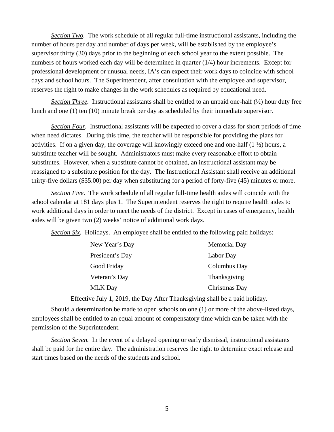*Section Two.* The work schedule of all regular full-time instructional assistants, including the number of hours per day and number of days per week, will be established by the employee's supervisor thirty (30) days prior to the beginning of each school year to the extent possible. The numbers of hours worked each day will be determined in quarter (1/4) hour increments. Except for professional development or unusual needs, IA's can expect their work days to coincide with school days and school hours. The Superintendent, after consultation with the employee and supervisor, reserves the right to make changes in the work schedules as required by educational need.

*Section Three.* Instructional assistants shall be entitled to an unpaid one-half (½) hour duty free lunch and one (1) ten (10) minute break per day as scheduled by their immediate supervisor.

*Section Four.* Instructional assistants will be expected to cover a class for short periods of time when need dictates. During this time, the teacher will be responsible for providing the plans for activities. If on a given day, the coverage will knowingly exceed one and one-half (1 ½) hours, a substitute teacher will be sought. Administrators must make every reasonable effort to obtain substitutes. However, when a substitute cannot be obtained, an instructional assistant may be reassigned to a substitute position for the day. The Instructional Assistant shall receive an additional thirty-five dollars (\$35.00) per day when substituting for a period of forty-five (45) minutes or more.

*Section Five*. The work schedule of all regular full-time health aides will coincide with the school calendar at 181 days plus 1. The Superintendent reserves the right to require health aides to work additional days in order to meet the needs of the district. Except in cases of emergency, health aides will be given two (2) weeks' notice of additional work days.

*Section Six.* Holidays. An employee shall be entitled to the following paid holidays:

| New Year's Day  | <b>Memorial Day</b> |
|-----------------|---------------------|
| President's Day | Labor Day           |
| Good Friday     | Columbus Day        |
| Veteran's Day   | Thanksgiving        |
| <b>MLK</b> Day  | Christmas Day       |
|                 |                     |

Effective July 1, 2019, the Day After Thanksgiving shall be a paid holiday.

 Should a determination be made to open schools on one (1) or more of the above-listed days, employees shall be entitled to an equal amount of compensatory time which can be taken with the permission of the Superintendent.

*Section Seven.* In the event of a delayed opening or early dismissal, instructional assistants shall be paid for the entire day. The administration reserves the right to determine exact release and start times based on the needs of the students and school.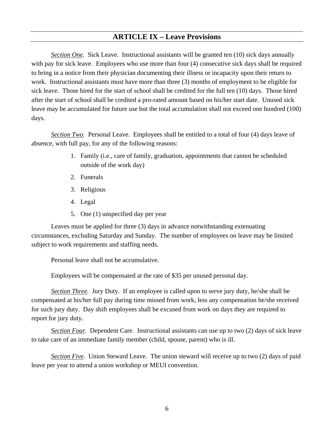# **ARTICLE IX – Leave Provisions**

*Section One.* Sick Leave. Instructional assistants will be granted ten (10) sick days annually with pay for sick leave. Employees who use more than four (4) consecutive sick days shall be required to bring in a notice from their physician documenting their illness or incapacity upon their return to work. Instructional assistants must have more than three (3) months of employment to be eligible for sick leave. Those hired for the start of school shall be credited for the full ten (10) days. Those hired after the start of school shall be credited a pro-rated amount based on his/her start date. Unused sick leave may be accumulated for future use but the total accumulation shall not exceed one hundred (100) days.

*<u>Section Two</u>*. Personal Leave. Employees shall be entitled to a total of four (4) days leave of absence, with full pay, for any of the following reasons:

- 1. Family (i.e., care of family, graduation, appointments that cannot be scheduled outside of the work day)
- 2. Funerals
- 3. Religious
- 4. Legal
- 5. One (1) unspecified day per year

Leaves must be applied for three (3) days in advance notwithstanding extenuating circumstances, excluding Saturday and Sunday. The number of employees on leave may be limited subject to work requirements and staffing needs.

Personal leave shall not be accumulative.

Employees will be compensated at the rate of \$35 per unused personal day.

*Section Three.* Jury Duty. If an employee is called upon to serve jury duty, he/she shall be compensated at his/her full pay during time missed from work, less any compensation he/she received for such jury duty. Day shift employees shall be excused from work on days they are required to report for jury duty.

*Section Four.* Dependent Care. Instructional assistants can use up to two (2) days of sick leave to take care of an immediate family member (child, spouse, parent) who is ill.

*Section Five.* Union Steward Leave. The union steward will receive up to two (2) days of paid leave per year to attend a union workshop or MEUI convention.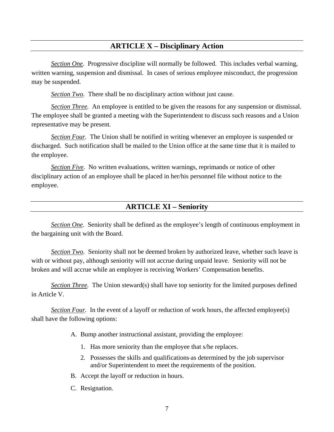## **ARTICLE X – Disciplinary Action**

*Section One.* Progressive discipline will normally be followed. This includes verbal warning, written warning, suspension and dismissal. In cases of serious employee misconduct, the progression may be suspended.

*Section Two.* There shall be no disciplinary action without just cause.

*Section Three.* An employee is entitled to be given the reasons for any suspension or dismissal. The employee shall be granted a meeting with the Superintendent to discuss such reasons and a Union representative may be present.

*Section Four.* The Union shall be notified in writing whenever an employee is suspended or discharged. Such notification shall be mailed to the Union office at the same time that it is mailed to the employee.

*Section Five*. No written evaluations, written warnings, reprimands or notice of other disciplinary action of an employee shall be placed in her/his personnel file without notice to the employee.

#### **ARTICLE XI – Seniority**

*Section One.* Seniority shall be defined as the employee's length of continuous employment in the bargaining unit with the Board.

*Section Two.* Seniority shall not be deemed broken by authorized leave, whether such leave is with or without pay, although seniority will not accrue during unpaid leave. Seniority will not be broken and will accrue while an employee is receiving Workers' Compensation benefits.

*Section Three.* The Union steward(s) shall have top seniority for the limited purposes defined in Article V.

*Section Four.* In the event of a layoff or reduction of work hours, the affected employee(s) shall have the following options:

- A. Bump another instructional assistant, providing the employee:
	- 1. Has more seniority than the employee that s/he replaces.
	- 2. Possesses the skills and qualifications as determined by the job supervisor and/or Superintendent to meet the requirements of the position.
- B. Accept the layoff or reduction in hours.
- C. Resignation.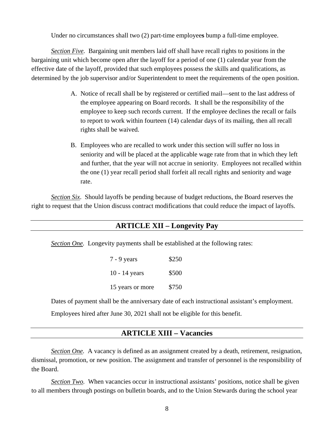Under no circumstances shall two (2) part-time employee**s** bump a full-time employee.

*Section Five.* Bargaining unit members laid off shall have recall rights to positions in the bargaining unit which become open after the layoff for a period of one (1) calendar year from the effective date of the layoff, provided that such employees possess the skills and qualifications, as determined by the job supervisor and/or Superintendent to meet the requirements of the open position.

- A. Notice of recall shall be by registered or certified mail—sent to the last address of the employee appearing on Board records. It shall be the responsibility of the employee to keep such records current. If the employee declines the recall or fails to report to work within fourteen (14) calendar days of its mailing, then all recall rights shall be waived.
- B. Employees who are recalled to work under this section will suffer no loss in seniority and will be placed at the applicable wage rate from that in which they left and further, that the year will not accrue in seniority. Employees not recalled within the one (1) year recall period shall forfeit all recall rights and seniority and wage rate.

*Section Six*. Should layoffs be pending because of budget reductions, the Board reserves the right to request that the Union discuss contract modifications that could reduce the impact of layoffs.

# **ARTICLE XII – Longevity Pay**

*Section One.* Longevity payments shall be established at the following rates:

7 - 9 years \$250 10 - 14 years \$500 15 years or more \$750

Dates of payment shall be the anniversary date of each instructional assistant's employment.

Employees hired after June 30, 2021 shall not be eligible for this benefit.

#### **ARTICLE XIII – Vacancies**

*Section One.* A vacancy is defined as an assignment created by a death, retirement, resignation, dismissal, promotion, or new position. The assignment and transfer of personnel is the responsibility of the Board.

*Section Two.* When vacancies occur in instructional assistants' positions, notice shall be given to all members through postings on bulletin boards, and to the Union Stewards during the school year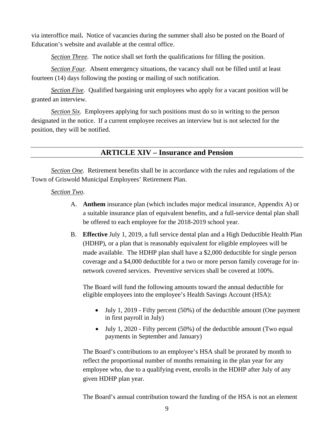via interoffice mail**.** Notice of vacancies during the summer shall also be posted on the Board of Education's website and available at the central office.

*Section Three.* The notice shall set forth the qualifications for filling the position.

*Section Four.* Absent emergency situations, the vacancy shall not be filled until at least fourteen (14) days following the posting or mailing of such notification.

*Section Five*. Qualified bargaining unit employees who apply for a vacant position will be granted an interview.

*Section Six.* Employees applying for such positions must do so in writing to the person designated in the notice. If a current employee receives an interview but is not selected for the position, they will be notified.

**ARTICLE XIV – Insurance and Pension** 

*Section One.* Retirement benefits shall be in accordance with the rules and regulations of the Town of Griswold Municipal Employees' Retirement Plan.

#### *Section Two*.

- A. **Anthem** insurance plan (which includes major medical insurance, Appendix A) or a suitable insurance plan of equivalent benefits, and a full-service dental plan shall be offered to each employee for the 2018-2019 school year.
- B. **Effective** July 1, 2019, a full service dental plan and a High Deductible Health Plan (HDHP), or a plan that is reasonably equivalent for eligible employees will be made available. The HDHP plan shall have a \$2,000 deductible for single person coverage and a \$4,000 deductible for a two or more person family coverage for innetwork covered services. Preventive services shall be covered at 100%.

The Board will fund the following amounts toward the annual deductible for eligible employees into the employee's Health Savings Account (HSA):

- July 1, 2019 Fifty percent (50%) of the deductible amount (One payment in first payroll in July)
- July 1, 2020 Fifty percent (50%) of the deductible amount (Two equal payments in September and January)

The Board's contributions to an employee's HSA shall be prorated by month to reflect the proportional number of months remaining in the plan year for any employee who, due to a qualifying event, enrolls in the HDHP after July of any given HDHP plan year.

The Board's annual contribution toward the funding of the HSA is not an element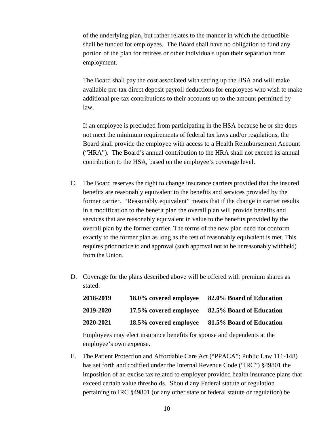of the underlying plan, but rather relates to the manner in which the deductible shall be funded for employees. The Board shall have no obligation to fund any portion of the plan for retirees or other individuals upon their separation from employment.

The Board shall pay the cost associated with setting up the HSA and will make available pre-tax direct deposit payroll deductions for employees who wish to make additional pre-tax contributions to their accounts up to the amount permitted by law.

If an employee is precluded from participating in the HSA because he or she does not meet the minimum requirements of federal tax laws and/or regulations, the Board shall provide the employee with access to a Health Reimbursement Account ("HRA"). The Board's annual contribution to the HRA shall not exceed its annual contribution to the HSA, based on the employee's coverage level.

- C. The Board reserves the right to change insurance carriers provided that the insured benefits are reasonably equivalent to the benefits and services provided by the former carrier. "Reasonably equivalent" means that if the change in carrier results in a modification to the benefit plan the overall plan will provide benefits and services that are reasonably equivalent in value to the benefits provided by the overall plan by the former carrier. The terms of the new plan need not conform exactly to the former plan as long as the test of reasonably equivalent is met. This requires prior notice to and approval (such approval not to be unreasonably withheld) from the Union.
- D. Coverage for the plans described above will be offered with premium shares as stated:

| 2018-2019 | 18.0% covered employee | 82.0% Board of Education |
|-----------|------------------------|--------------------------|
| 2019-2020 | 17.5% covered employee | 82.5% Board of Education |
| 2020-2021 | 18.5% covered employee | 81.5% Board of Education |

Employees may elect insurance benefits for spouse and dependents at the employee's own expense.

E. The Patient Protection and Affordable Care Act ("PPACA"; Public Law 111-148) has set forth and codified under the Internal Revenue Code ("IRC") §49801 the imposition of an excise tax related to employer provided health insurance plans that exceed certain value thresholds. Should any Federal statute or regulation pertaining to IRC §49801 (or any other state or federal statute or regulation) be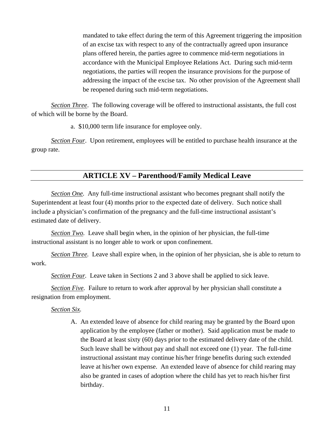mandated to take effect during the term of this Agreement triggering the imposition of an excise tax with respect to any of the contractually agreed upon insurance plans offered herein, the parties agree to commence mid-term negotiations in accordance with the Municipal Employee Relations Act. During such mid-term negotiations, the parties will reopen the insurance provisions for the purpose of addressing the impact of the excise tax. No other provision of the Agreement shall be reopened during such mid-term negotiations.

*Section Three*. The following coverage will be offered to instructional assistants, the full cost of which will be borne by the Board.

a. \$10,000 term life insurance for employee only.

*Section Four*. Upon retirement, employees will be entitled to purchase health insurance at the group rate.

#### **ARTICLE XV – Parenthood/Family Medical Leave**

*Section One.* Any full-time instructional assistant who becomes pregnant shall notify the Superintendent at least four (4) months prior to the expected date of delivery. Such notice shall include a physician's confirmation of the pregnancy and the full-time instructional assistant's estimated date of delivery.

*Section Two.* Leave shall begin when, in the opinion of her physician, the full-time instructional assistant is no longer able to work or upon confinement.

*Section Three.* Leave shall expire when, in the opinion of her physician, she is able to return to work.

*Section Four.* Leave taken in Sections 2 and 3 above shall be applied to sick leave.

*Section Five.* Failure to return to work after approval by her physician shall constitute a resignation from employment.

#### *Section Six.*

A. An extended leave of absence for child rearing may be granted by the Board upon application by the employee (father or mother). Said application must be made to the Board at least sixty (60) days prior to the estimated delivery date of the child. Such leave shall be without pay and shall not exceed one (1) year. The full-time instructional assistant may continue his/her fringe benefits during such extended leave at his/her own expense. An extended leave of absence for child rearing may also be granted in cases of adoption where the child has yet to reach his/her first birthday.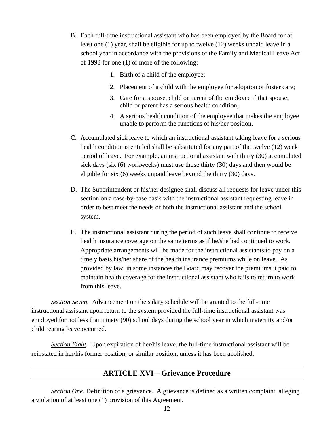- B. Each full-time instructional assistant who has been employed by the Board for at least one (1) year, shall be eligible for up to twelve (12) weeks unpaid leave in a school year in accordance with the provisions of the Family and Medical Leave Act of 1993 for one (1) or more of the following:
	- 1. Birth of a child of the employee;
	- 2. Placement of a child with the employee for adoption or foster care;
	- 3. Care for a spouse, child or parent of the employee if that spouse, child or parent has a serious health condition;
	- 4. A serious health condition of the employee that makes the employee unable to perform the functions of his/her position.
- C. Accumulated sick leave to which an instructional assistant taking leave for a serious health condition is entitled shall be substituted for any part of the twelve (12) week period of leave. For example, an instructional assistant with thirty (30) accumulated sick days (six (6) workweeks) must use those thirty (30) days and then would be eligible for six (6) weeks unpaid leave beyond the thirty (30) days.
- D. The Superintendent or his/her designee shall discuss all requests for leave under this section on a case-by-case basis with the instructional assistant requesting leave in order to best meet the needs of both the instructional assistant and the school system.
- E. The instructional assistant during the period of such leave shall continue to receive health insurance coverage on the same terms as if he/she had continued to work. Appropriate arrangements will be made for the instructional assistants to pay on a timely basis his/her share of the health insurance premiums while on leave. As provided by law, in some instances the Board may recover the premiums it paid to maintain health coverage for the instructional assistant who fails to return to work from this leave.

*Section Seven.* Advancement on the salary schedule will be granted to the full-time instructional assistant upon return to the system provided the full-time instructional assistant was employed for not less than ninety (90) school days during the school year in which maternity and/or child rearing leave occurred.

*Section Eight.* Upon expiration of her/his leave, the full-time instructional assistant will be reinstated in her/his former position, or similar position, unless it has been abolished.

# **ARTICLE XVI – Grievance Procedure**

*Section One.* Definition of a grievance. A grievance is defined as a written complaint, alleging a violation of at least one (1) provision of this Agreement.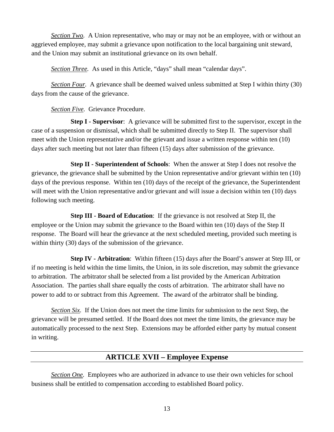*Section Two.* A Union representative, who may or may not be an employee, with or without an aggrieved employee, may submit a grievance upon notification to the local bargaining unit steward, and the Union may submit an institutional grievance on its own behalf.

*Section Three.* As used in this Article, "days" shall mean "calendar days".

*Section Four.* A grievance shall be deemed waived unless submitted at Step I within thirty (30) days from the cause of the grievance.

*Section Five.* Grievance Procedure.

**Step I - Supervisor**: A grievance will be submitted first to the supervisor, except in the case of a suspension or dismissal, which shall be submitted directly to Step II. The supervisor shall meet with the Union representative and/or the grievant and issue a written response within ten (10) days after such meeting but not later than fifteen (15) days after submission of the grievance.

 **Step II - Superintendent of Schools**: When the answer at Step I does not resolve the grievance, the grievance shall be submitted by the Union representative and/or grievant within ten (10) days of the previous response. Within ten (10) days of the receipt of the grievance, the Superintendent will meet with the Union representative and/or grievant and will issue a decision within ten (10) days following such meeting.

 **Step III - Board of Education**: If the grievance is not resolved at Step II, the employee or the Union may submit the grievance to the Board within ten (10) days of the Step II response. The Board will hear the grievance at the next scheduled meeting, provided such meeting is within thirty (30) days of the submission of the grievance.

 **Step IV - Arbitration**: Within fifteen (15) days after the Board's answer at Step III, or if no meeting is held within the time limits, the Union, in its sole discretion, may submit the grievance to arbitration. The arbitrator shall be selected from a list provided by the American Arbitration Association. The parties shall share equally the costs of arbitration. The arbitrator shall have no power to add to or subtract from this Agreement. The award of the arbitrator shall be binding.

*Section Six.* If the Union does not meet the time limits for submission to the next Step, the grievance will be presumed settled. If the Board does not meet the time limits, the grievance may be automatically processed to the next Step. Extensions may be afforded either party by mutual consent in writing.

#### **ARTICLE XVII – Employee Expense**

*Section One.* Employees who are authorized in advance to use their own vehicles for school business shall be entitled to compensation according to established Board policy.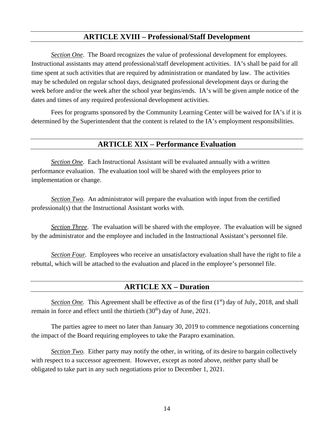# **ARTICLE XVIII – Professional/Staff Development**

*Section One*. The Board recognizes the value of professional development for employees. Instructional assistants may attend professional/staff development activities. IA's shall be paid for all time spent at such activities that are required by administration or mandated by law. The activities may be scheduled on regular school days, designated professional development days or during the week before and/or the week after the school year begins/ends. IA's will be given ample notice of the dates and times of any required professional development activities.

Fees for programs sponsored by the Community Learning Center will be waived for IA's if it is determined by the Superintendent that the content is related to the IA's employment responsibilities.

#### **ARTICLE XIX – Performance Evaluation**

*Section One*. Each Instructional Assistant will be evaluated annually with a written performance evaluation. The evaluation tool will be shared with the employees prior to implementation or change.

*Section Two*. An administrator will prepare the evaluation with input from the certified professional(s) that the Instructional Assistant works with.

*Section Three*. The evaluation will be shared with the employee. The evaluation will be signed by the administrator and the employee and included in the Instructional Assistant's personnel file.

*Section Four.* Employees who receive an unsatisfactory evaluation shall have the right to file a rebuttal, which will be attached to the evaluation and placed in the employee's personnel file.

#### **ARTICLE XX – Duration**

*Section One.* This Agreement shall be effective as of the first (1<sup>st</sup>) day of July, 2018, and shall remain in force and effect until the thirtieth  $(30<sup>th</sup>)$  day of June, 2021.

The parties agree to meet no later than January 30, 2019 to commence negotiations concerning the impact of the Board requiring employees to take the Parapro examination.

*Section Two.* Either party may notify the other, in writing, of its desire to bargain collectively with respect to a successor agreement. However, except as noted above, neither party shall be obligated to take part in any such negotiations prior to December 1, 2021.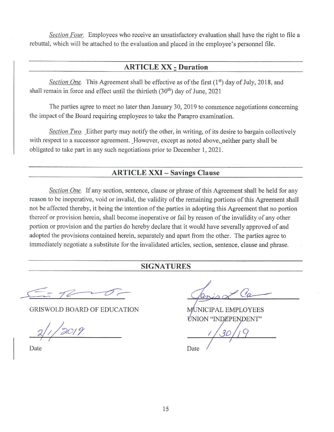Section Four. Employees who receive an unsatisfactory evaluation shall have the right to file a rebuttal, which will be attached to the evaluation and placed in the employee's personnel file.

#### **ARTICLE XX - Duration**

Section One. This Agreement shall be effective as of the first (1<sup>st</sup>) day of July, 2018, and shall remain in force and effect until the thirtieth (30<sup>th</sup>) day of June, 2021

The parties agree to meet no later than January 30, 2019 to commence negotiations concerning the impact of the Board requiring employees to take the Parapro examination.

Section Two. Either party may notify the other, in writing, of its desire to bargain collectively with respect to a successor agreement. However, except as noted above, neither party shall be obligated to take part in any such negotiations prior to December 1, 2021.

#### **ARTICLE XXI - Savings Clause**

Section One. If any section, sentence, clause or phrase of this Agreement shall be held for any reason to be inoperative, void or invalid, the validity of the remaining portions of this Agreement shall not be affected thereby, it being the intention of the parties in adopting this Agreement that no portion thereof or provision herein, shall become inoperative or fail by reason of the invalidity of any other portion or provision and the parties do hereby declare that it would have severally approved of and adopted the provisions contained herein, separately and apart from the other. The parties agree to immediately negotiate a substitute for the invalidated articles, section, sentence, clause and phrase.

#### **SIGNATURES**

**GRISWOLD BOARD OF EDUCATION** 

Date

UNICIPAL EMPLOYEES **ÚNION "INDEPENDENT"** 

Date